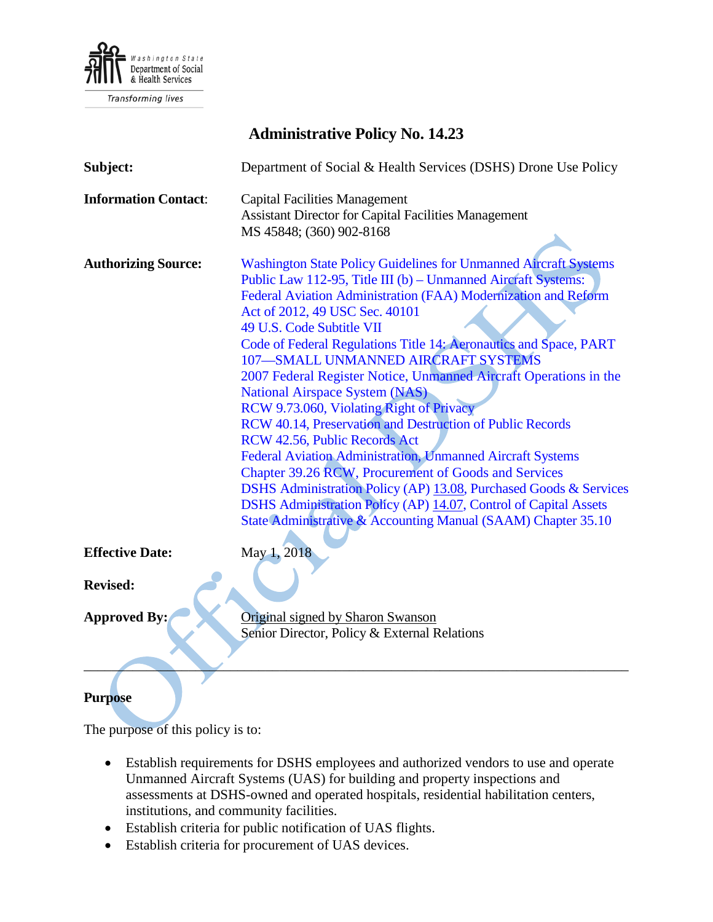

**Transforming lives** 

# **Administrative Policy No. 14.23**

| Subject:                    | Department of Social & Health Services (DSHS) Drone Use Policy                                                                                                                                                                                                                                                                                                                                                                                                                                                                                                                                                                                                                                                                                                                                                                                                                                                                                                                |
|-----------------------------|-------------------------------------------------------------------------------------------------------------------------------------------------------------------------------------------------------------------------------------------------------------------------------------------------------------------------------------------------------------------------------------------------------------------------------------------------------------------------------------------------------------------------------------------------------------------------------------------------------------------------------------------------------------------------------------------------------------------------------------------------------------------------------------------------------------------------------------------------------------------------------------------------------------------------------------------------------------------------------|
| <b>Information Contact:</b> | <b>Capital Facilities Management</b><br><b>Assistant Director for Capital Facilities Management</b><br>MS 45848; (360) 902-8168                                                                                                                                                                                                                                                                                                                                                                                                                                                                                                                                                                                                                                                                                                                                                                                                                                               |
| <b>Authorizing Source:</b>  | <b>Washington State Policy Guidelines for Unmanned Aircraft Systems</b><br>Public Law 112-95, Title III (b) - Unmanned Aircraft Systems:<br>Federal Aviation Administration (FAA) Modernization and Reform<br>Act of 2012, 49 USC Sec. 40101<br>49 U.S. Code Subtitle VII<br>Code of Federal Regulations Title 14: Aeronautics and Space, PART<br>107-SMALL UNMANNED AIRCRAFT SYSTEMS<br>2007 Federal Register Notice, Unmanned Aircraft Operations in the<br><b>National Airspace System (NAS)</b><br>RCW 9.73.060, Violating Right of Privacy<br>RCW 40.14, Preservation and Destruction of Public Records<br>RCW 42.56, Public Records Act<br>Federal Aviation Administration, Unmanned Aircraft Systems<br>Chapter 39.26 RCW, Procurement of Goods and Services<br>DSHS Administration Policy (AP) 13.08, Purchased Goods & Services<br>DSHS Administration Policy (AP) 14.07, Control of Capital Assets<br>State Administrative & Accounting Manual (SAAM) Chapter 35.10 |
| <b>Effective Date:</b>      | May 1, 2018                                                                                                                                                                                                                                                                                                                                                                                                                                                                                                                                                                                                                                                                                                                                                                                                                                                                                                                                                                   |
| <b>Revised:</b>             |                                                                                                                                                                                                                                                                                                                                                                                                                                                                                                                                                                                                                                                                                                                                                                                                                                                                                                                                                                               |
| <b>Approved By:</b>         | Original signed by Sharon Swanson<br>Senior Director, Policy & External Relations                                                                                                                                                                                                                                                                                                                                                                                                                                                                                                                                                                                                                                                                                                                                                                                                                                                                                             |

### **Purpose**

The purpose of this policy is to:

- Establish requirements for DSHS employees and authorized vendors to use and operate Unmanned Aircraft Systems (UAS) for building and property inspections and assessments at DSHS-owned and operated hospitals, residential habilitation centers, institutions, and community facilities.
- Establish criteria for public notification of UAS flights.
- Establish criteria for procurement of UAS devices.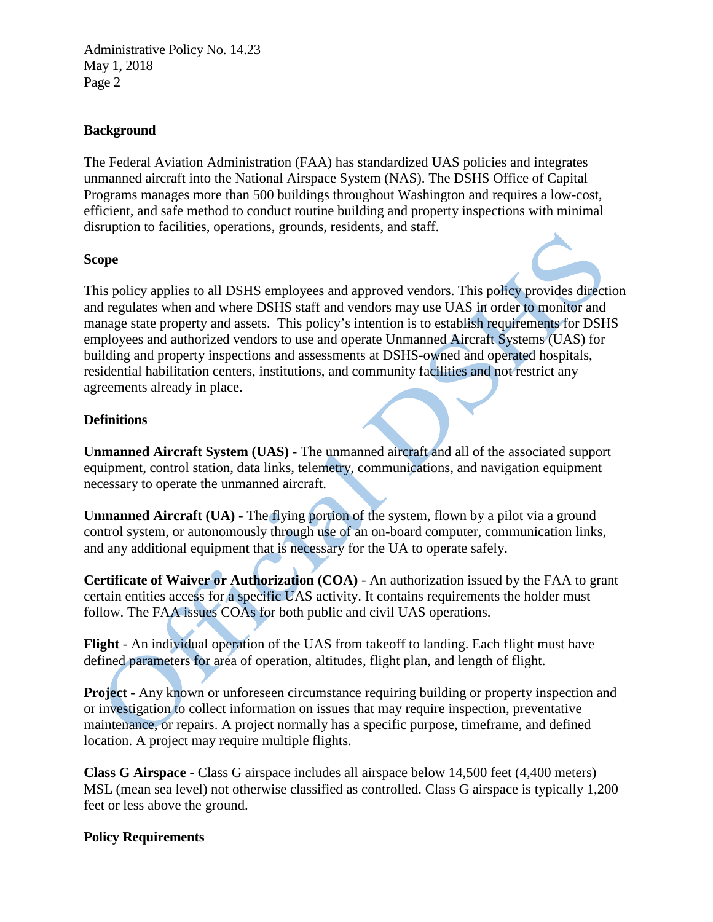#### **Background**

The Federal Aviation Administration (FAA) has standardized UAS policies and integrates unmanned aircraft into the National Airspace System (NAS). The DSHS Office of Capital Programs manages more than 500 buildings throughout Washington and requires a low-cost, efficient, and safe method to conduct routine building and property inspections with minimal disruption to facilities, operations, grounds, residents, and staff.

#### **Scope**

This policy applies to all DSHS employees and approved vendors. This policy provides direction and regulates when and where DSHS staff and vendors may use UAS in order to monitor and manage state property and assets. This policy's intention is to establish requirements for DSHS employees and authorized vendors to use and operate Unmanned Aircraft Systems (UAS) for building and property inspections and assessments at DSHS-owned and operated hospitals, residential habilitation centers, institutions, and community facilities and not restrict any agreements already in place.

### **Definitions**

**Unmanned Aircraft System (UAS)** - The unmanned aircraft and all of the associated support equipment, control station, data links, telemetry, communications, and navigation equipment necessary to operate the unmanned aircraft.

**Unmanned Aircraft (UA) - The flying portion of the system, flown by a pilot via a ground** control system, or autonomously through use of an on-board computer, communication links, and any additional equipment that is necessary for the UA to operate safely.

**Certificate of Waiver or Authorization (COA)** - An authorization issued by the FAA to grant certain entities access for a specific UAS activity. It contains requirements the holder must follow. The FAA issues COAs for both public and civil UAS operations.

**Flight** - An individual operation of the UAS from takeoff to landing. Each flight must have defined parameters for area of operation, altitudes, flight plan, and length of flight.

**Project** - Any known or unforeseen circumstance requiring building or property inspection and or investigation to collect information on issues that may require inspection, preventative maintenance, or repairs. A project normally has a specific purpose, timeframe, and defined location. A project may require multiple flights.

**Class G Airspace** - Class G airspace includes all airspace below 14,500 feet (4,400 meters) MSL (mean sea level) not otherwise classified as controlled. Class G airspace is typically 1,200 feet or less above the ground.

### **Policy Requirements**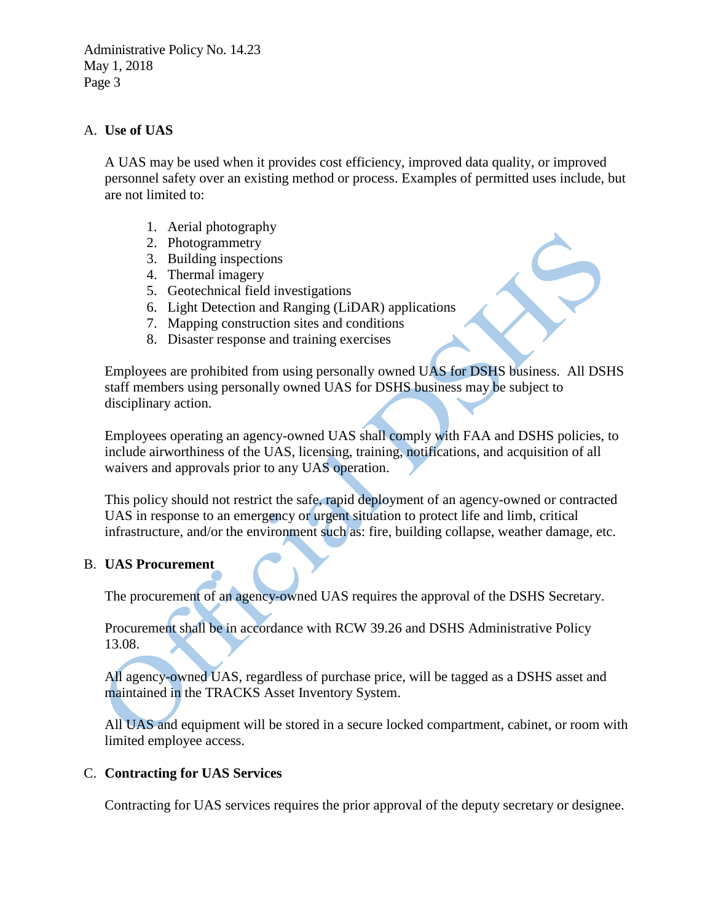### A. **Use of UAS**

A UAS may be used when it provides cost efficiency, improved data quality, or improved personnel safety over an existing method or process. Examples of permitted uses include, but are not limited to:

- 1. Aerial photography
- 2. Photogrammetry
- 3. Building inspections
- 4. Thermal imagery
- 5. Geotechnical field investigations
- 6. Light Detection and Ranging (LiDAR) applications
- 7. Mapping construction sites and conditions
- 8. Disaster response and training exercises

Employees are prohibited from using personally owned UAS for DSHS business. All DSHS staff members using personally owned UAS for DSHS business may be subject to disciplinary action.

Employees operating an agency-owned UAS shall comply with FAA and DSHS policies, to include airworthiness of the UAS, licensing, training, notifications, and acquisition of all waivers and approvals prior to any UAS operation.

This policy should not restrict the safe, rapid deployment of an agency-owned or contracted UAS in response to an emergency or urgent situation to protect life and limb, critical infrastructure, and/or the environment such as: fire, building collapse, weather damage, etc.

### B. **UAS Procurement**

The procurement of an agency-owned UAS requires the approval of the DSHS Secretary.

Procurement shall be in accordance with [RCW 39.26](http://apps.leg.wa.gov/rcw/default.aspx?cite=39.26) and DSHS [Administrative Policy](http://one.dshs.wa.lcl/Policies/Administrative/DSHS-AP-13-08.pdf)  [13.08.](http://one.dshs.wa.lcl/Policies/Administrative/DSHS-AP-13-08.pdf)

All agency-owned UAS, regardless of purchase price, will be tagged as a DSHS asset and maintained in the TRACKS Asset Inventory System.

All UAS and equipment will be stored in a secure locked compartment, cabinet, or room with limited employee access.

#### C. **Contracting for UAS Services**

Contracting for UAS services requires the prior approval of the deputy secretary or designee.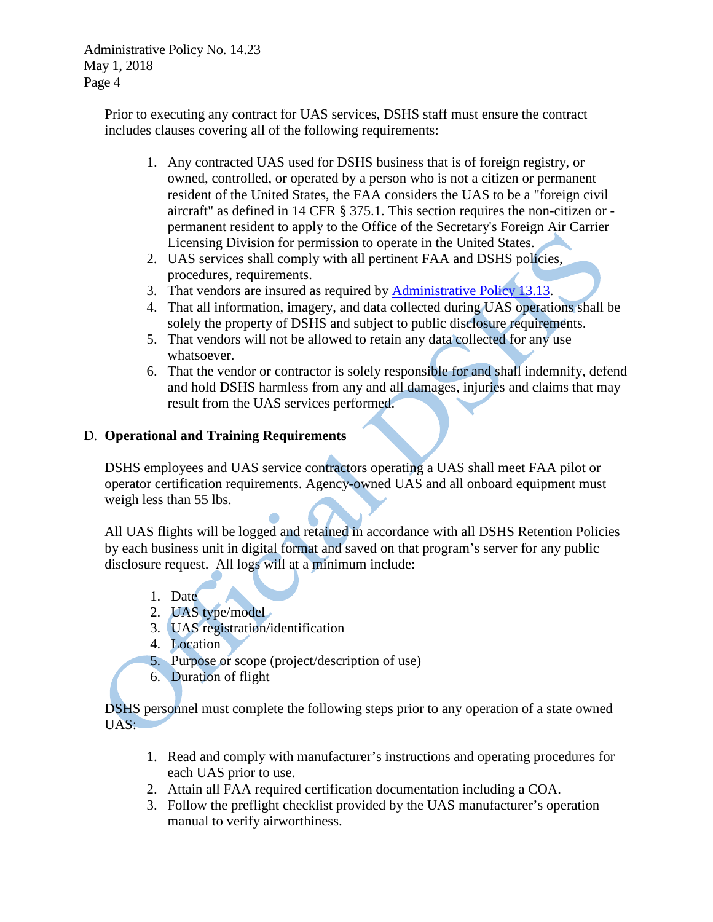> Prior to executing any contract for UAS services, DSHS staff must ensure the contract includes clauses covering all of the following requirements:

- 1. Any contracted UAS used for DSHS business that is of foreign registry, or owned, controlled, or operated by a person who is not a citizen or permanent resident of the United States, the FAA considers the UAS to be a "foreign civil aircraft" as defined in 14 CFR § 375.1. This section requires the non-citizen or permanent resident to apply to the Office of the Secretary's Foreign Air Carrier Licensing Division for permission to operate in the United States.
- 2. UAS services shall comply with all pertinent FAA and DSHS policies, procedures, requirements.
- 3. That vendors are insured as required by [Administrative Policy 13.13.](http://one.dshs.wa.lcl/Policies/Administrative/DSHS-AP-13-13.pdf)
- 4. That all information, imagery, and data collected during UAS operations shall be solely the property of DSHS and subject to public disclosure requirements.
- 5. That vendors will not be allowed to retain any data collected for any use whatsoever.
- 6. That the vendor or contractor is solely responsible for and shall indemnify, defend and hold DSHS harmless from any and all damages, injuries and claims that may result from the UAS services performed.

### D. **Operational and Training Requirements**

DSHS employees and UAS service contractors operating a UAS shall meet FAA pilot or operator certification requirements. Agency-owned UAS and all onboard equipment must weigh less than 55 lbs.

All UAS flights will be logged and retained in accordance with all DSHS Retention Policies by each business unit in digital format and saved on that program's server for any public disclosure request. All logs will at a minimum include:

- 1. Date
- 2. UAS type/model
- 3. UAS registration/identification
- 4. Location
- 5. Purpose or scope (project/description of use)
- 6. Duration of flight

DSHS personnel must complete the following steps prior to any operation of a state owned UAS:

- 1. Read and comply with manufacturer's instructions and operating procedures for each UAS prior to use.
- 2. Attain all [FAA required certification documentation including a COA.](https://www.faa.gov/uas/beyond_the_basics/#gov)
- 3. Follow the preflight checklist provided by the UAS manufacturer's operation manual to verify airworthiness.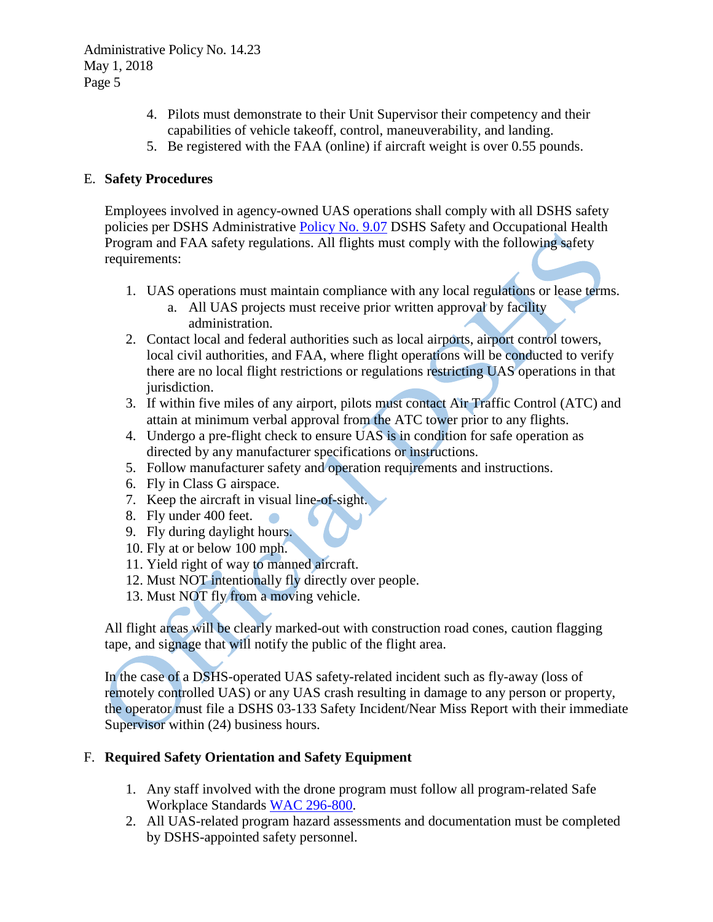- 4. Pilots must demonstrate to their Unit Supervisor their competency and their capabilities of vehicle takeoff, control, maneuverability, and landing.
- 5. Be registered with the FAA (online) if aircraft weight is over 0.55 pounds.

### E. **Safety Procedures**

Employees involved in agency-owned UAS operations shall comply with all DSHS safety policies per DSHS Administrative [Policy No. 9.07](http://one.dshs.wa.lcl/Policies/Administrative/DSHS-AP-09-07.pdf) DSHS Safety and Occupational Health Program and FAA safety regulations. All flights must comply with the following safety requirements:

- 1. UAS operations must maintain compliance with any local regulations or lease terms.
	- a. All UAS projects must receive prior written approval by facility administration.
- 2. Contact local and federal authorities such as local airports, airport control towers, local civil authorities, and FAA, where flight operations will be conducted to verify there are no local flight restrictions or regulations restricting UAS operations in that jurisdiction.
- 3. If within five miles of any airport, pilots must contact Air Traffic Control (ATC) and attain at minimum verbal approval from the ATC tower prior to any flights.
- 4. Undergo a pre-flight check to ensure UAS is in condition for safe operation as directed by any manufacturer specifications or instructions.
- 5. Follow manufacturer safety and operation requirements and instructions.
- 6. Fly in Class G airspace.
- 7. Keep the aircraft in visual line-of-sight.
- 8. Fly under 400 feet.
- 9. Fly during daylight hours.
- 10. Fly at or below 100 mph.
- 11. Yield right of way to manned aircraft.
- 12. Must NOT intentionally fly directly over people.
- 13. Must NOT fly from a moving vehicle.

All flight areas will be clearly marked-out with construction road cones, caution flagging tape, and signage that will notify the public of the flight area.

In the case of a DSHS-operated UAS safety-related incident such as fly-away (loss of remotely controlled UAS) or any UAS crash resulting in damage to any person or property, the operator must file a DSHS 03-133 Safety Incident/Near Miss Report with their immediate Supervisor within (24) business hours.

### F. **Required Safety Orientation and Safety Equipment**

- 1. Any staff involved with the drone program must follow all program-related Safe Workplace Standards [WAC 296-800.](http://apps.leg.wa.gov/wac/default.aspx?cite=296-800)
- 2. All UAS-related program hazard assessments and documentation must be completed by DSHS-appointed safety personnel.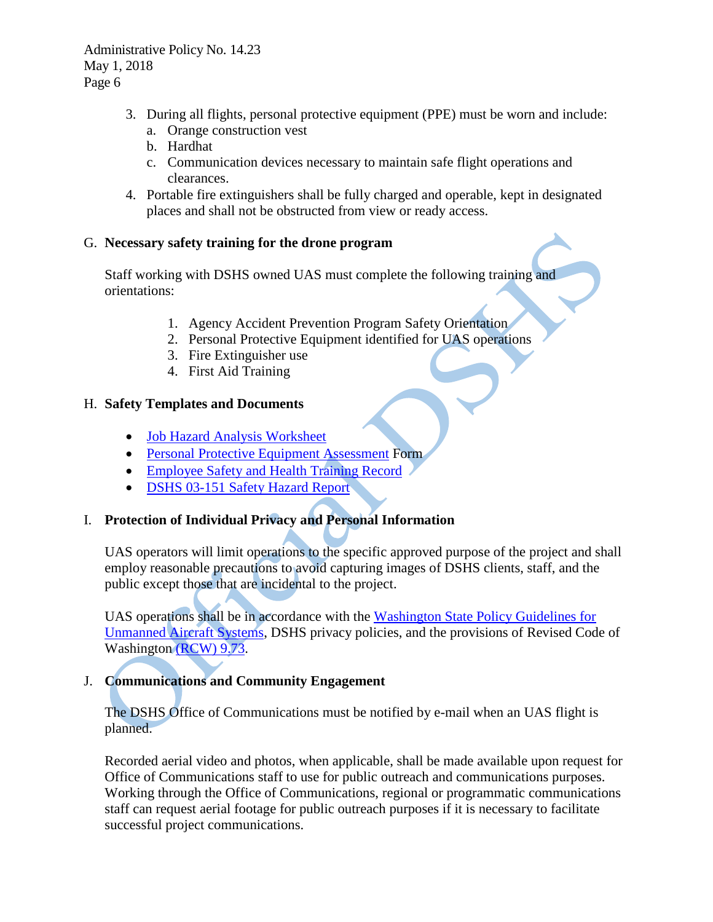- 3. During all flights, personal protective equipment (PPE) must be worn and include: a. Orange construction vest
	- b. Hardhat
	- c. Communication devices necessary to maintain safe flight operations and clearances.
- 4. Portable fire extinguishers shall be fully charged and operable, kept in designated places and shall not be obstructed from view or ready access.

### G. **Necessary safety training for the drone program**

Staff working with DSHS owned UAS must complete the following training and orientations:

- 1. Agency Accident Prevention Program Safety Orientation
- 2. Personal Protective Equipment identified for UAS operations
- 3. Fire Extinguisher use
- 4. First Aid Training

### H. **Safety Templates and Documents**

- [Job Hazard Analysis](http://one.dshs.wa.lcl/FS/Loss/Safety/Office%20Safety%20Startup/Forms/AllItems.aspx?RootFolder=%2fFS%2fLoss%2fSafety%2fOffice%20Safety%20Startup%2f02%20Job%20Hazard%20Analysis%20%2d%20JHA&FolderCTID=0x01200006E307E91D1FF4419175469B999288B3) Worksheet
- [Personal Protective Equipment Assessment](http://one.dshs.wa.lcl/FS/Loss/Safety/Office%20Safety%20Startup/Forms/AllItems.aspx?RootFolder=%2FFS%2FLoss%2FSafety%2FOffice%20Safety%20Startup%2F02%20Job%20Hazard%20Analysis%20%2D%20JHA&FolderCTID=0x01200006E307E91D1FF4419175469B999288B3&View=%7B58EEFBB0%2DE4BC%2D4BE2%2DB1D3%2DB1186FFD691E%7D) Form
- [Employee Safety and Health Training Record](http://one.dshs.wa.lcl/FS/Loss/Safety/Office%20Safety%20Startup/Forms/AllItems.aspx?RootFolder=%2FFS%2FLoss%2FSafety%2FOffice%20Safety%20Startup%2F17%20Safety%20Training%20Plan&FolderCTID=0x01200006E307E91D1FF4419175469B999288B3&View=%7B58EEFBB0%2DE4BC%2D4BE2%2DB1D3%2DB1186FFD691E%7D)
- [DSHS 03-151 Safety Hazard Report](http://one.dshs.wa.lcl/FS/Loss/Safety/Office%20Safety%20Startup/Forms/AllItems.aspx?RootFolder=%2FFS%2FLoss%2FSafety%2FOffice%20Safety%20Startup%2F06%20Incident%20Reporting%20and%20Investigation&FolderCTID=0x01200006E307E91D1FF4419175469B999288B3&View=%7B58EEFBB0%2DE4BC%2D4BE2%2DB1D3%2DB1186FFD691E%7D&InitialTabId=Ribbon%2ERead&VisibilityContext=WSSTabPersistence)

### I. **Protection of Individual Privacy and Personal Information**

UAS operators will limit operations to the specific approved purpose of the project and shall employ reasonable precautions to avoid capturing images of DSHS clients, staff, and the public except those that are incidental to the project.

UAS operations shall be in accordance with the [Washington State Policy Guidelines for](http://www.wsdot.wa.gov/NR/rdonlyres/AC738BE5-FDCE-4FD9-A173-6C913FDABE24/0/DronePolicyGuidelines.pdf)  [Unmanned Aircraft Systems,](http://www.wsdot.wa.gov/NR/rdonlyres/AC738BE5-FDCE-4FD9-A173-6C913FDABE24/0/DronePolicyGuidelines.pdf) DSHS privacy policies, and the provisions of Revised Code of Washington [\(RCW\) 9.73.](http://apps.leg.wa.gov/Rcw/default.aspx?cite=9.73)

## J. **Communications and Community Engagement**

The DSHS Office of Communications must be notified by e-mail when an UAS flight is planned.

Recorded aerial video and photos, when applicable, shall be made available upon request for Office of Communications staff to use for public outreach and communications purposes. Working through the Office of Communications, regional or programmatic communications staff can request aerial footage for public outreach purposes if it is necessary to facilitate successful project communications.